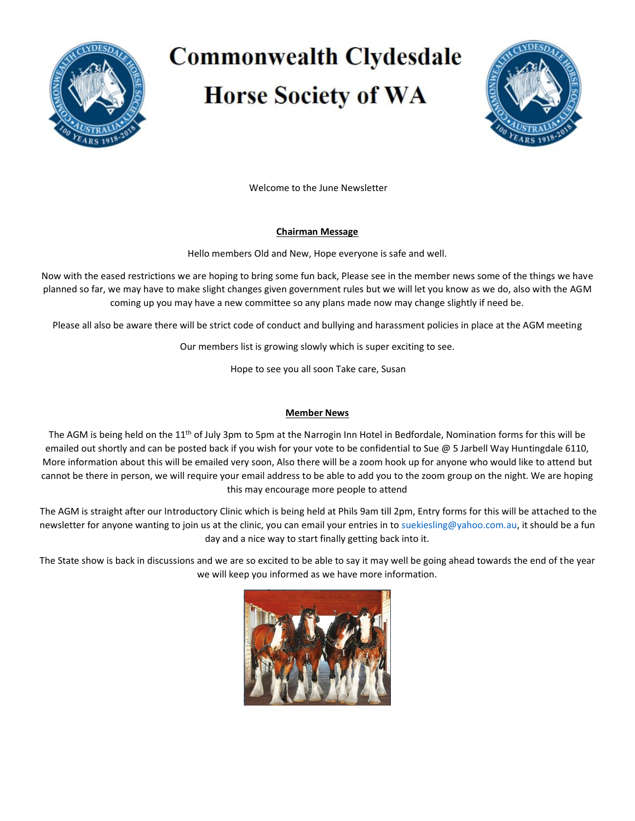

# **Commonwealth Clydesdale Horse Society of WA**



Welcome to the June Newsletter

## **Chairman Message**

Hello members Old and New, Hope everyone is safe and well.

Now with the eased restrictions we are hoping to bring some fun back, Please see in the member news some of the things we have planned so far, we may have to make slight changes given government rules but we will let you know as we do, also with the AGM coming up you may have a new committee so any plans made now may change slightly if need be.

Please all also be aware there will be strict code of conduct and bullying and harassment policies in place at the AGM meeting

Our members list is growing slowly which is super exciting to see.

Hope to see you all soon Take care, Susan

## **Member News**

The AGM is being held on the  $11<sup>th</sup>$  of July 3pm to 5pm at the Narrogin Inn Hotel in Bedfordale, Nomination forms for this will be emailed out shortly and can be posted back if you wish for your vote to be confidential to Sue @ 5 Jarbell Way Huntingdale 6110, More information about this will be emailed very soon, Also there will be a zoom hook up for anyone who would like to attend but cannot be there in person, we will require your email address to be able to add you to the zoom group on the night. We are hoping this may encourage more people to attend

The AGM is straight after our Introductory Clinic which is being held at Phils 9am till 2pm, Entry forms for this will be attached to the newsletter for anyone wanting to join us at the clinic, you can email your entries in to [suekiesling@yahoo.com.au,](mailto:suekiesling@yahoo.com.au) it should be a fun day and a nice way to start finally getting back into it.

The State show is back in discussions and we are so excited to be able to say it may well be going ahead towards the end of the year we will keep you informed as we have more information.

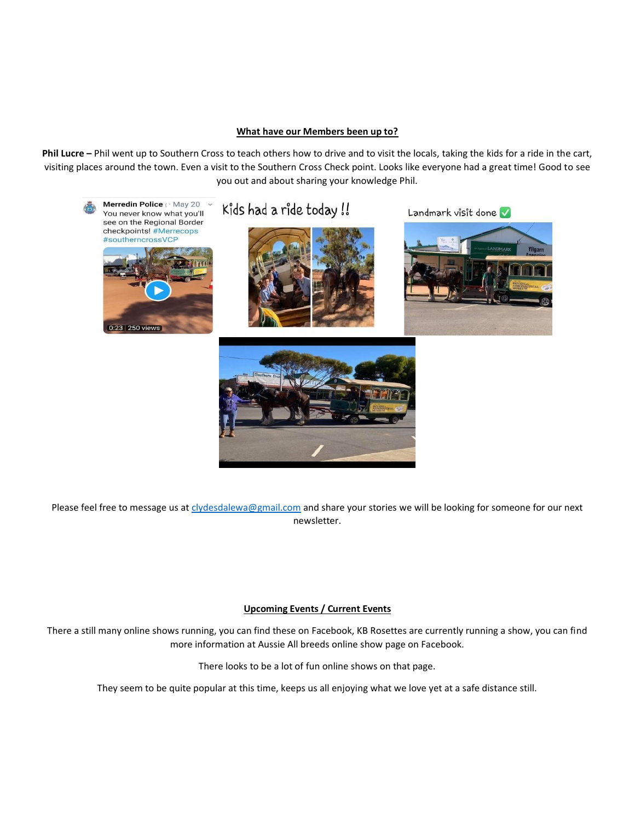#### **What have our Members been up to?**

**Phil Lucre –** Phil went up to Southern Cross to teach others how to drive and to visit the locals, taking the kids for a ride in the cart, visiting places around the town. Even a visit to the Southern Cross Check point. Looks like everyone had a great time! Good to see you out and about sharing your knowledge Phil.



Please feel free to message us a[t clydesdalewa@gmail.com](mailto:clydesdalewa@gmail.com) and share your stories we will be looking for someone for our next newsletter.

### **Upcoming Events / Current Events**

There a still many online shows running, you can find these on Facebook, KB Rosettes are currently running a show, you can find more information at Aussie All breeds online show page on Facebook.

There looks to be a lot of fun online shows on that page.

They seem to be quite popular at this time, keeps us all enjoying what we love yet at a safe distance still.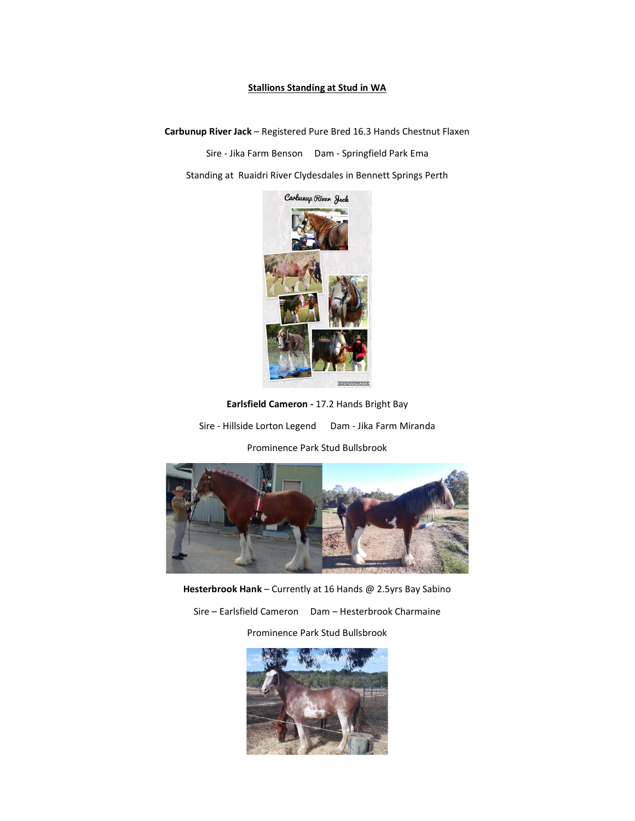#### **Stallions Standing at Stud in WA**

**Carbunup River Jack** – Registered Pure Bred 16.3 Hands Chestnut Flaxen

Sire - Jika Farm Benson Dam - Springfield Park Ema

Standing at Ruaidri River Clydesdales in Bennett Springs Perth



**Earlsfield Cameron -** 17.2 Hands Bright Bay

Sire - Hillside Lorton Legend Dam - Jika Farm Miranda

Prominence Park Stud Bullsbrook



**Hesterbrook Hank** – Currently at 16 Hands @ 2.5yrs Bay Sabino

Sire – Earlsfield Cameron Dam – Hesterbrook Charmaine

Prominence Park Stud Bullsbrook